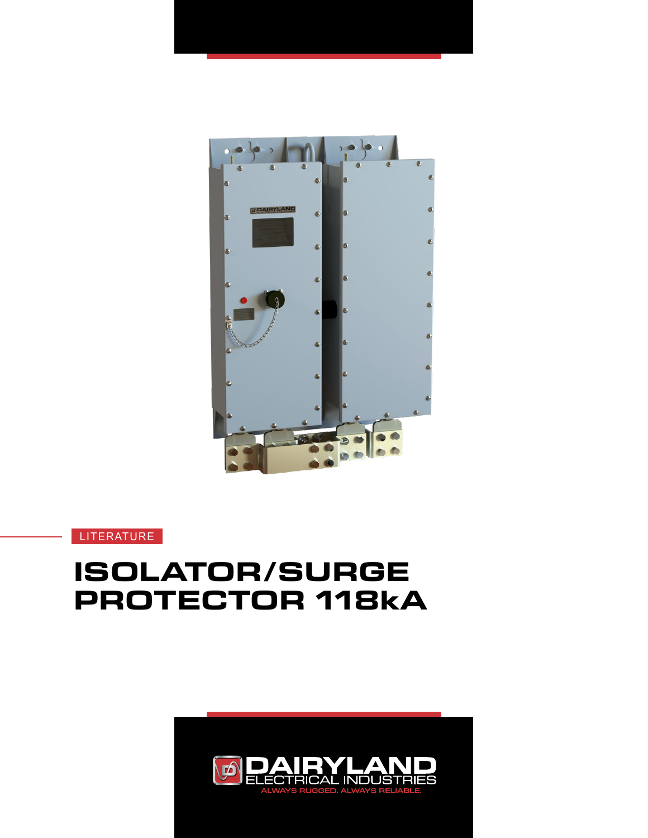

LITERATURE

# **ISOLATOR/SURGE PROTECTOR 118kA**

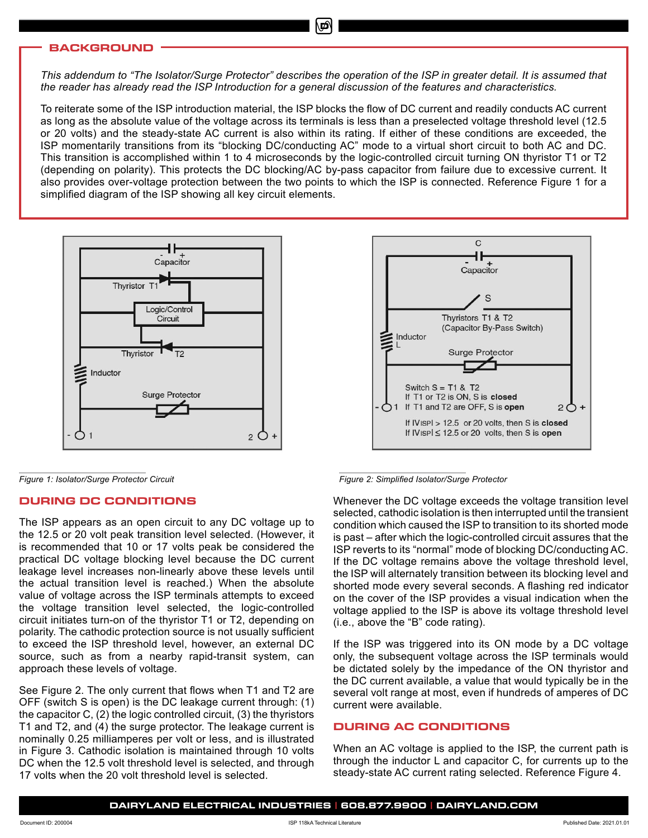## **BACKGROUND**

*This addendum to "The Isolator/Surge Protector" describes the operation of the ISP in greater detail. It is assumed that the reader has already read the ISP Introduction for a general discussion of the features and characteristics.*

To reiterate some of the ISP introduction material, the ISP blocks the flow of DC current and readily conducts AC current as long as the absolute value of the voltage across its terminals is less than a preselected voltage threshold level (12.5 or 20 volts) and the steady-state AC current is also within its rating. If either of these conditions are exceeded, the ISP momentarily transitions from its "blocking DC/conducting AC" mode to a virtual short circuit to both AC and DC. This transition is accomplished within 1 to 4 microseconds by the logic-controlled circuit turning ON thyristor T1 or T2 (depending on polarity). This protects the DC blocking/AC by-pass capacitor from failure due to excessive current. It also provides over-voltage protection between the two points to which the ISP is connected. Reference Figure 1 for a simplified diagram of the ISP showing all key circuit elements.



# **DURING DC CONDITIONS**

The ISP appears as an open circuit to any DC voltage up to the 12.5 or 20 volt peak transition level selected. (However, it is recommended that 10 or 17 volts peak be considered the practical DC voltage blocking level because the DC current leakage level increases non-linearly above these levels until the actual transition level is reached.) When the absolute value of voltage across the ISP terminals attempts to exceed the voltage transition level selected, the logic-controlled circuit initiates turn-on of the thyristor T1 or T2, depending on polarity. The cathodic protection source is not usually sufficient to exceed the ISP threshold level, however, an external DC source, such as from a nearby rapid-transit system, can approach these levels of voltage.

See Figure 2. The only current that flows when T1 and T2 are OFF (switch S is open) is the DC leakage current through: (1) the capacitor C, (2) the logic controlled circuit, (3) the thyristors T1 and T2, and (4) the surge protector. The leakage current is nominally 0.25 milliamperes per volt or less, and is illustrated in Figure 3. Cathodic isolation is maintained through 10 volts DC when the 12.5 volt threshold level is selected, and through 17 volts when the 20 volt threshold level is selected.



*Figure 1: Isolator/Surge Protector Circuit Figure 2: Simplified Isolator/Surge Protector*

Whenever the DC voltage exceeds the voltage transition level selected, cathodic isolation is then interrupted until the transient condition which caused the ISP to transition to its shorted mode is past – after which the logic-controlled circuit assures that the ISP reverts to its "normal" mode of blocking DC/conducting AC. If the DC voltage remains above the voltage threshold level, the ISP will alternately transition between its blocking level and shorted mode every several seconds. A flashing red indicator on the cover of the ISP provides a visual indication when the voltage applied to the ISP is above its voltage threshold level (i.e., above the "B" code rating).

If the ISP was triggered into its ON mode by a DC voltage only, the subsequent voltage across the ISP terminals would be dictated solely by the impedance of the ON thyristor and the DC current available, a value that would typically be in the several volt range at most, even if hundreds of amperes of DC current were available.

## **DURING AC CONDITIONS**

When an AC voltage is applied to the ISP, the current path is through the inductor L and capacitor C, for currents up to the steady-state AC current rating selected. Reference Figure 4.

**DAIRYLAND ELECTRICAL INDUSTRIES | 608.877.9900 | DAIRYLAND.COM**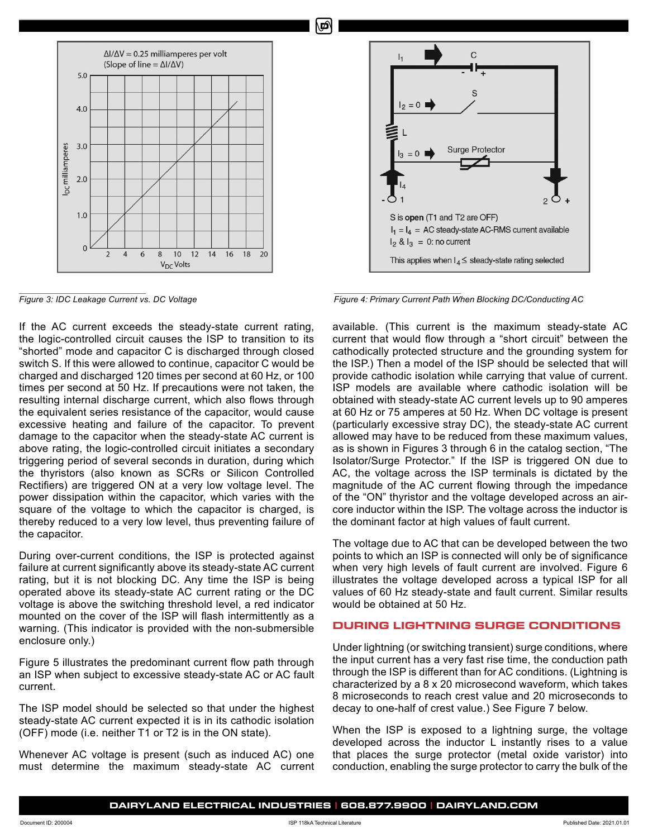

If the AC current exceeds the steady-state current rating, the logic-controlled circuit causes the ISP to transition to its "shorted" mode and capacitor C is discharged through closed switch S. If this were allowed to continue, capacitor C would be charged and discharged 120 times per second at 60 Hz, or 100 times per second at 50 Hz. If precautions were not taken, the resulting internal discharge current, which also flows through the equivalent series resistance of the capacitor, would cause excessive heating and failure of the capacitor. To prevent damage to the capacitor when the steady-state AC current is above rating, the logic-controlled circuit initiates a secondary triggering period of several seconds in duration, during which the thyristors (also known as SCRs or Silicon Controlled Rectifiers) are triggered ON at a very low voltage level. The power dissipation within the capacitor, which varies with the square of the voltage to which the capacitor is charged, is thereby reduced to a very low level, thus preventing failure of the capacitor.

During over-current conditions, the ISP is protected against failure at current significantly above its steady-state AC current rating, but it is not blocking DC. Any time the ISP is being operated above its steady-state AC current rating or the DC voltage is above the switching threshold level, a red indicator mounted on the cover of the ISP will flash intermittently as a warning. (This indicator is provided with the non-submersible enclosure only.)

Figure 5 illustrates the predominant current flow path through an ISP when subject to excessive steady-state AC or AC fault current.

The ISP model should be selected so that under the highest steady-state AC current expected it is in its cathodic isolation (OFF) mode (i.e. neither T1 or T2 is in the ON state).

Whenever AC voltage is present (such as induced AC) one must determine the maximum steady-state AC current



*Figure 3: IDC Leakage Current vs. DC Voltage Figure 4: Primary Current Path When Blocking DC/Conducting AC*

available. (This current is the maximum steady-state AC current that would flow through a "short circuit" between the cathodically protected structure and the grounding system for the ISP.) Then a model of the ISP should be selected that will provide cathodic isolation while carrying that value of current. ISP models are available where cathodic isolation will be obtained with steady-state AC current levels up to 90 amperes at 60 Hz or 75 amperes at 50 Hz. When DC voltage is present (particularly excessive stray DC), the steady-state AC current allowed may have to be reduced from these maximum values, as is shown in Figures 3 through 6 in the catalog section, "The Isolator/Surge Protector." If the ISP is triggered ON due to AC, the voltage across the ISP terminals is dictated by the magnitude of the AC current flowing through the impedance of the "ON" thyristor and the voltage developed across an aircore inductor within the ISP. The voltage across the inductor is the dominant factor at high values of fault current.

The voltage due to AC that can be developed between the two points to which an ISP is connected will only be of significance when very high levels of fault current are involved. Figure 6 illustrates the voltage developed across a typical ISP for all values of 60 Hz steady-state and fault current. Similar results would be obtained at 50 Hz.

# **DURING LIGHTNING SURGE CONDITIONS**

Under lightning (or switching transient) surge conditions, where the input current has a very fast rise time, the conduction path through the ISP is different than for AC conditions. (Lightning is characterized by a 8 x 20 microsecond waveform, which takes 8 microseconds to reach crest value and 20 microseconds to decay to one-half of crest value.) See Figure 7 below.

When the ISP is exposed to a lightning surge, the voltage developed across the inductor L instantly rises to a value that places the surge protector (metal oxide varistor) into conduction, enabling the surge protector to carry the bulk of the

Ø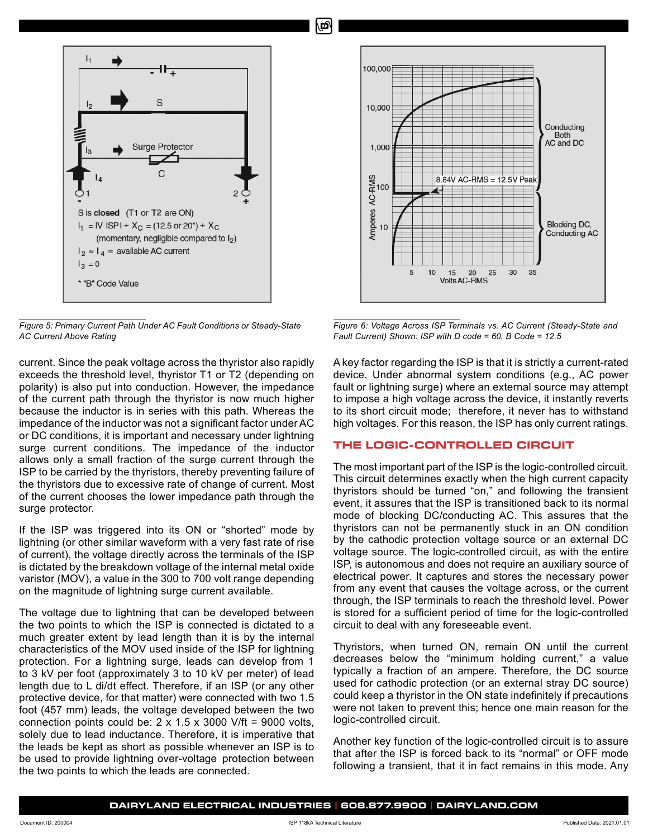

*Figure 5: Primary Current Path Under AC Fault Conditions or Steady-State AC Current Above Rating*

current. Since the peak voltage across the thyristor also rapidly exceeds the threshold level, thyristor T1 or T2 (depending on polarity) is also put into conduction. However, the impedance of the current path through the thyristor is now much higher because the inductor is in series with this path. Whereas the impedance of the inductor was not a significant factor under AC or DC conditions, it is important and necessary under lightning surge current conditions. The impedance of the inductor allows only a small fraction of the surge current through the ISP to be carried by the thyristors, thereby preventing failure of the thyristors due to excessive rate of change of current. Most of the current chooses the lower impedance path through the surge protector.

If the ISP was triggered into its ON or "shorted" mode by lightning (or other similar waveform with a very fast rate of rise of current), the voltage directly across the terminals of the ISP is dictated by the breakdown voltage of the internal metal oxide varistor (MOV), a value in the 300 to 700 volt range depending on the magnitude of lightning surge current available.

The voltage due to lightning that can be developed between the two points to which the ISP is connected is dictated to a much greater extent by lead length than it is by the internal characteristics of the MOV used inside of the ISP for lightning protection. For a lightning surge, leads can develop from 1 to 3 kV per foot (approximately 3 to 10 kV per meter) of lead length due to L di/dt effect. Therefore, if an ISP (or any other protective device, for that matter) were connected with two 1.5 foot (457 mm) leads, the voltage developed between the two connection points could be:  $2 \times 1.5 \times 3000$  V/ft = 9000 volts, solely due to lead inductance. Therefore, it is imperative that the leads be kept as short as possible whenever an ISP is to be used to provide lightning over-voltage protection between the two points to which the leads are connected.



*Figure 6: Voltage Across ISP Terminals vs. AC Current (Steady-State and Fault Current) Shown: ISP with D code = 60, B Code = 12.5*

A key factor regarding the ISP is that it is strictly a current-rated device. Under abnormal system conditions (e.g., AC power fault or lightning surge) where an external source may attempt to impose a high voltage across the device, it instantly reverts to its short circuit mode; therefore, it never has to withstand high voltages. For this reason, the ISP has only current ratings.

# **THE LOGIC-CONTROLLED CIRCUIT**

The most important part of the ISP is the logic-controlled circuit. This circuit determines exactly when the high current capacity thyristors should be turned "on," and following the transient event, it assures that the ISP is transitioned back to its normal mode of blocking DC/conducting AC. This assures that the thyristors can not be permanently stuck in an ON condition by the cathodic protection voltage source or an external DC voltage source. The logic-controlled circuit, as with the entire ISP, is autonomous and does not require an auxiliary source of electrical power. It captures and stores the necessary power from any event that causes the voltage across, or the current through, the ISP terminals to reach the threshold level. Power is stored for a sufficient period of time for the logic-controlled circuit to deal with any foreseeable event.

Thyristors, when turned ON, remain ON until the current decreases below the "minimum holding current," a value typically a fraction of an ampere. Therefore, the DC source used for cathodic protection (or an external stray DC source) could keep a thyristor in the ON state indefinitely if precautions were not taken to prevent this; hence one main reason for the logic-controlled circuit.

Another key function of the logic-controlled circuit is to assure that after the ISP is forced back to its "normal" or OFF mode following a transient, that it in fact remains in this mode. Any

Ø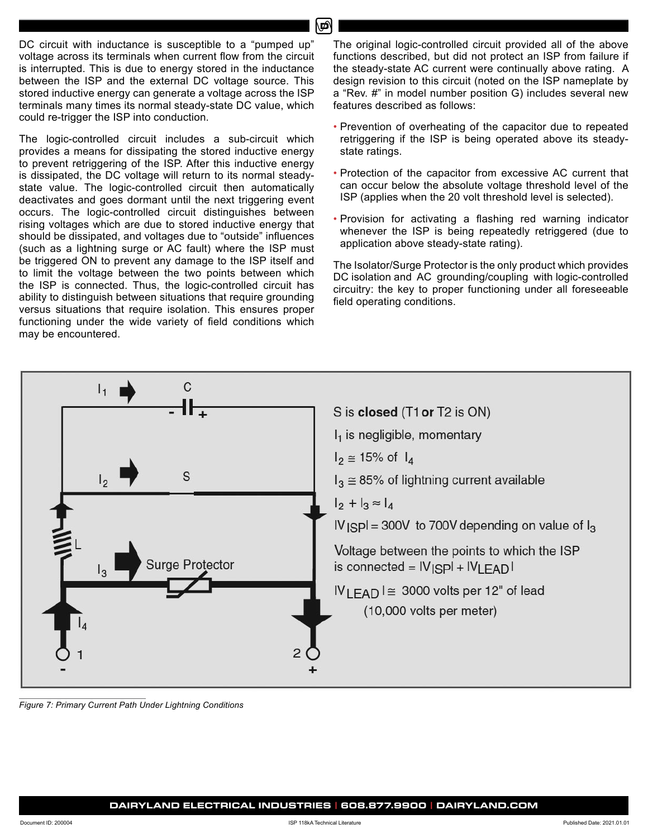DC circuit with inductance is susceptible to a "pumped up" voltage across its terminals when current flow from the circuit is interrupted. This is due to energy stored in the inductance between the ISP and the external DC voltage source. This stored inductive energy can generate a voltage across the ISP terminals many times its normal steady-state DC value, which could re-trigger the ISP into conduction.

The logic-controlled circuit includes a sub-circuit which provides a means for dissipating the stored inductive energy to prevent retriggering of the ISP. After this inductive energy is dissipated, the DC voltage will return to its normal steadystate value. The logic-controlled circuit then automatically deactivates and goes dormant until the next triggering event occurs. The logic-controlled circuit distinguishes between rising voltages which are due to stored inductive energy that should be dissipated, and voltages due to "outside" influences (such as a lightning surge or AC fault) where the ISP must be triggered ON to prevent any damage to the ISP itself and to limit the voltage between the two points between which the ISP is connected. Thus, the logic-controlled circuit has ability to distinguish between situations that require grounding versus situations that require isolation. This ensures proper functioning under the wide variety of field conditions which may be encountered.

The original logic-controlled circuit provided all of the above functions described, but did not protect an ISP from failure if the steady-state AC current were continually above rating. A design revision to this circuit (noted on the ISP nameplate by a "Rev. #" in model number position G) includes several new features described as follows:

- Prevention of overheating of the capacitor due to repeated retriggering if the ISP is being operated above its steadystate ratings.
- Protection of the capacitor from excessive AC current that can occur below the absolute voltage threshold level of the ISP (applies when the 20 volt threshold level is selected).
- Provision for activating a flashing red warning indicator whenever the ISP is being repeatedly retriggered (due to application above steady-state rating).

The Isolator/Surge Protector is the only product which provides DC isolation and AC grounding/coupling with logic-controlled circuitry: the key to proper functioning under all foreseeable field operating conditions.



*Figure 7: Primary Current Path Under Lightning Conditions*

۵Ó